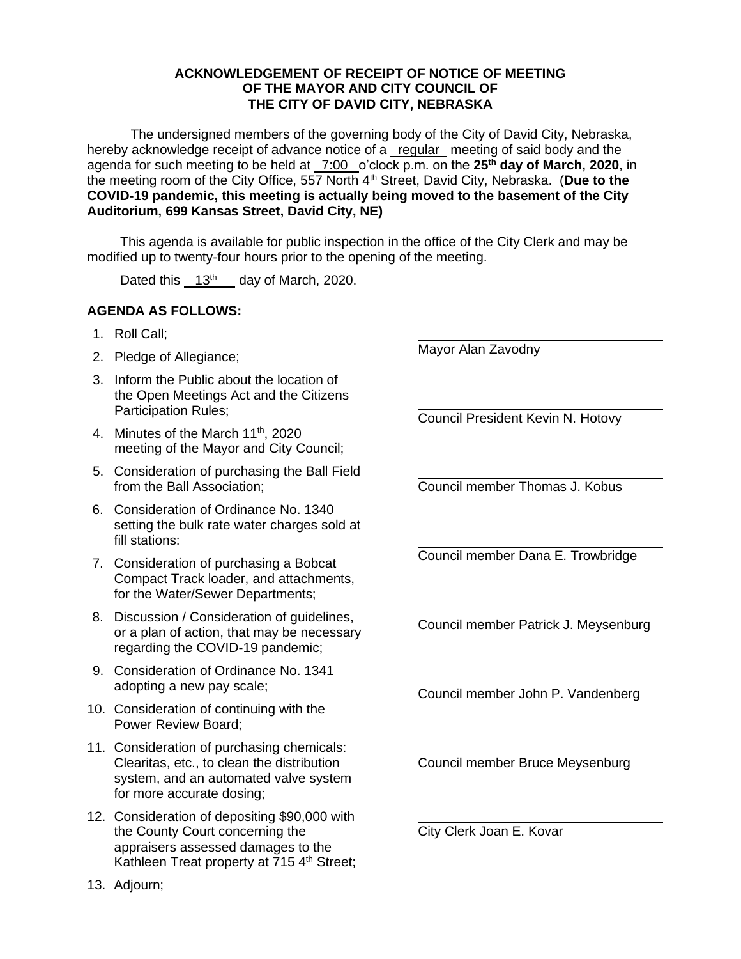## **ACKNOWLEDGEMENT OF RECEIPT OF NOTICE OF MEETING OF THE MAYOR AND CITY COUNCIL OF THE CITY OF DAVID CITY, NEBRASKA**

The undersigned members of the governing body of the City of David City, Nebraska, hereby acknowledge receipt of advance notice of a regular meeting of said body and the agenda for such meeting to be held at \_7:00 \_o'clock p.m. on the 25<sup>th</sup> day of March, 2020, in the meeting room of the City Office, 557 North 4<sup>th</sup> Street, David City, Nebraska. (Due to the **COVID-19 pandemic, this meeting is actually being moved to the basement of the City Auditorium, 699 Kansas Street, David City, NE)**

This agenda is available for public inspection in the office of the City Clerk and may be modified up to twenty-four hours prior to the opening of the meeting.

Dated this  $13<sup>th</sup>$  day of March, 2020.

## **AGENDA AS FOLLOWS:**

- 1. Roll Call;
- 2. Pledge of Allegiance;
- 3. Inform the Public about the location of the Open Meetings Act and the Citizens Participation Rules;
- 4. Minutes of the March 11<sup>th</sup>, 2020 meeting of the Mayor and City Council;
- 5. Consideration of purchasing the Ball Field from the Ball Association;
- 6. Consideration of Ordinance No. 1340 setting the bulk rate water charges sold at fill stations:
- 7. Consideration of purchasing a Bobcat Compact Track loader, and attachments, for the Water/Sewer Departments;
- 8. Discussion / Consideration of guidelines, or a plan of action, that may be necessary regarding the COVID-19 pandemic;
- 9. Consideration of Ordinance No. 1341 adopting a new pay scale;
- 10. Consideration of continuing with the Power Review Board;
- 11. Consideration of purchasing chemicals: Clearitas, etc., to clean the distribution system, and an automated valve system for more accurate dosing;
- 12. Consideration of depositing \$90,000 with the County Court concerning the appraisers assessed damages to the Kathleen Treat property at 715 4<sup>th</sup> Street;

Mayor Alan Zavodny

Council President Kevin N. Hotovy

Council member Thomas J. Kobus

Council member Dana E. Trowbridge

Council member Patrick J. Meysenburg

Council member John P. Vandenberg

Council member Bruce Meysenburg

City Clerk Joan E. Kovar

13. Adjourn;